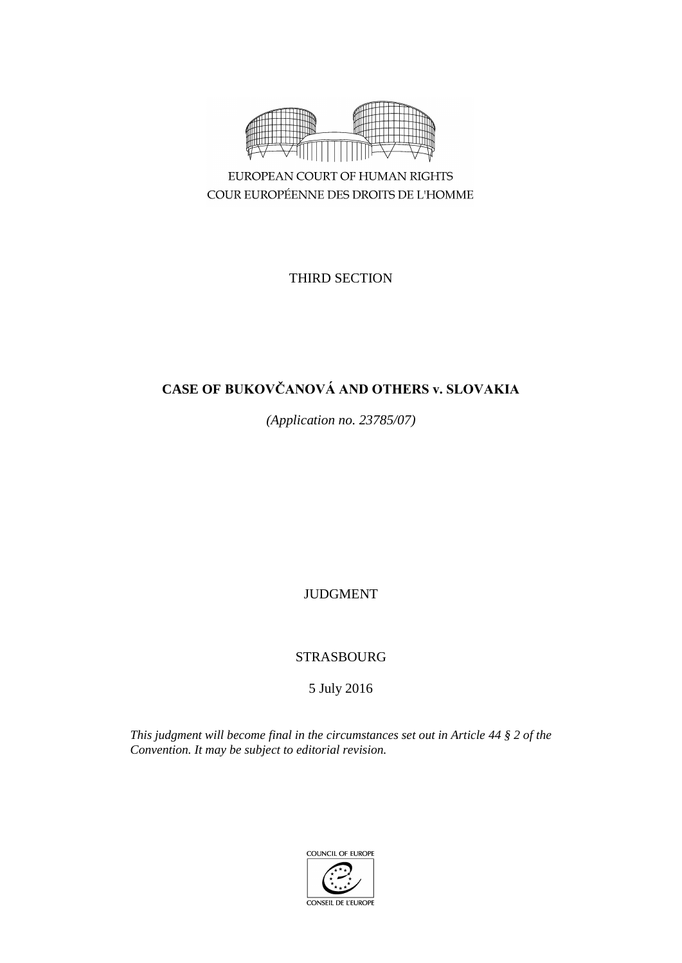

EUROPEAN COURT OF HUMAN RIGHTS COUR EUROPÉENNE DES DROITS DE L'HOMME

THIRD SECTION

# **CASE OF BUKOVČANOVÁ AND OTHERS v. SLOVAKIA**

*(Application no. 23785/07)*

JUDGMENT

STRASBOURG

5 July 2016

*This judgment will become final in the circumstances set out in Article 44 § 2 of the Convention. It may be subject to editorial revision.*

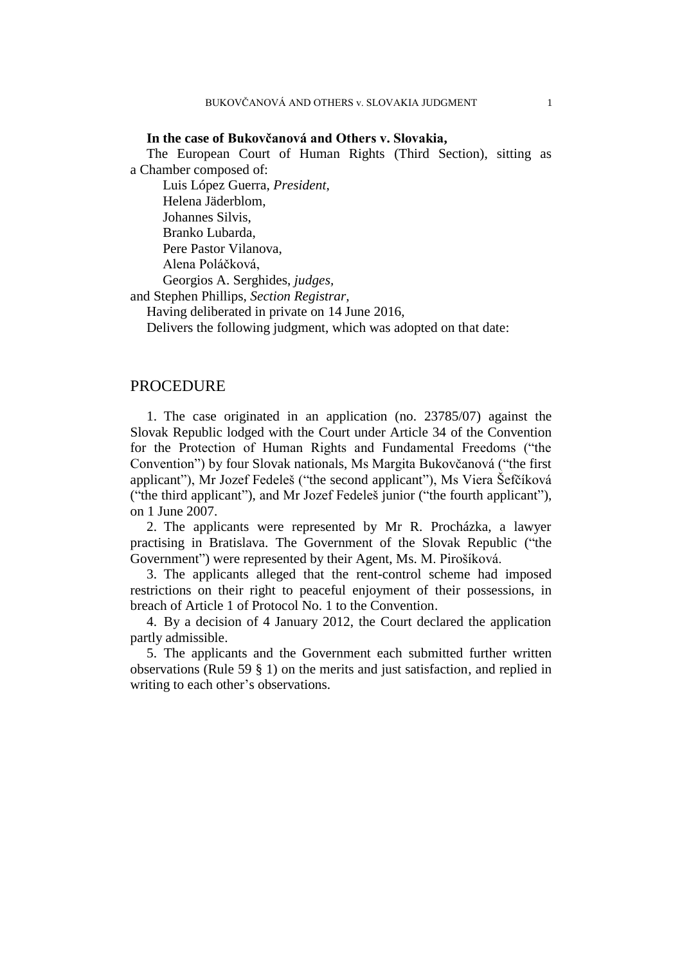#### **In the case of Bukovčanová and Others v. Slovakia,**

The European Court of Human Rights (Third Section), sitting as a Chamber composed of:

Luis López Guerra, *President,* Helena Jäderblom, Johannes Silvis, Branko Lubarda, Pere Pastor Vilanova, Alena Poláčková, Georgios A. Serghides, *judges,*

and Stephen Phillips, *Section Registrar,*

Having deliberated in private on 14 June 2016,

Delivers the following judgment, which was adopted on that date:

## PROCEDURE

1. The case originated in an application (no. 23785/07) against the Slovak Republic lodged with the Court under Article 34 of the Convention for the Protection of Human Rights and Fundamental Freedoms ("the Convention") by four Slovak nationals, Ms Margita Bukovčanová ("the first applicant"), Mr Jozef Fedeleš ("the second applicant"), Ms Viera Šefčíková ("the third applicant"), and Mr Jozef Fedeleš junior ("the fourth applicant"), on 1 June 2007.

2. The applicants were represented by Mr R. Procházka, a lawyer practising in Bratislava. The Government of the Slovak Republic ("the Government") were represented by their Agent, Ms. M. Pirošíková.

3. The applicants alleged that the rent-control scheme had imposed restrictions on their right to peaceful enjoyment of their possessions, in breach of Article 1 of Protocol No. 1 to the Convention.

4. By a decision of 4 January 2012, the Court declared the application partly admissible.

5. The applicants and the Government each submitted further written observations (Rule 59 § 1) on the merits and just satisfaction, and replied in writing to each other's observations.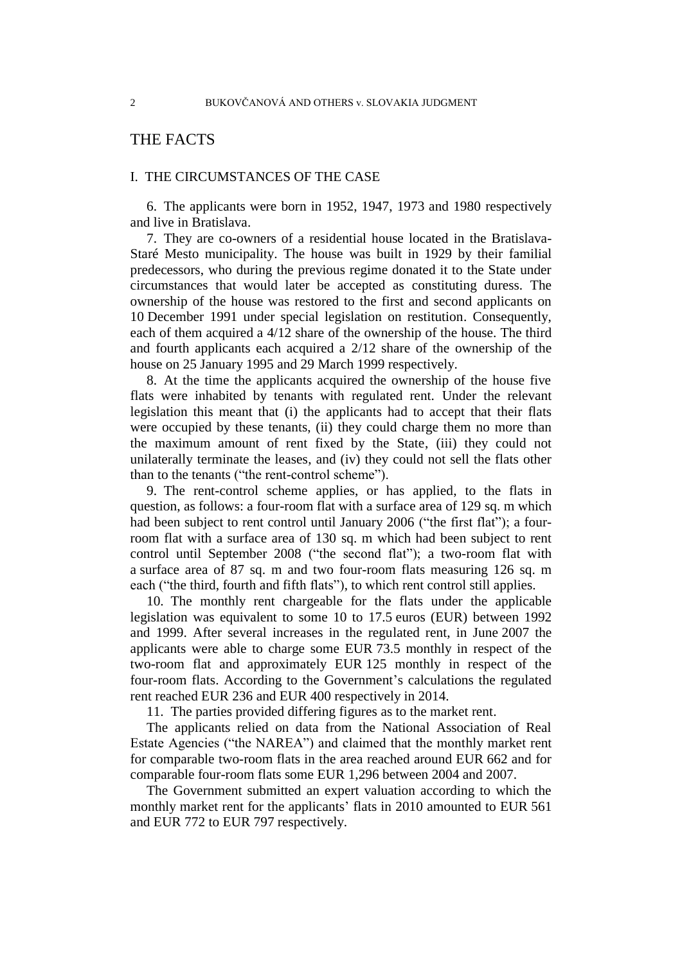# THE FACTS

### I. THE CIRCUMSTANCES OF THE CASE

6. The applicants were born in 1952, 1947, 1973 and 1980 respectively and live in Bratislava.

<span id="page-3-1"></span>7. They are co-owners of a residential house located in the Bratislava-Staré Mesto municipality. The house was built in 1929 by their familial predecessors, who during the previous regime donated it to the State under circumstances that would later be accepted as constituting duress. The ownership of the house was restored to the first and second applicants on 10 December 1991 under special legislation on restitution. Consequently, each of them acquired a 4/12 share of the ownership of the house. The third and fourth applicants each acquired a 2/12 share of the ownership of the house on 25 January 1995 and 29 March 1999 respectively.

8. At the time the applicants acquired the ownership of the house five flats were inhabited by tenants with regulated rent. Under the relevant legislation this meant that (i) the applicants had to accept that their flats were occupied by these tenants, (ii) they could charge them no more than the maximum amount of rent fixed by the State, (iii) they could not unilaterally terminate the leases, and (iv) they could not sell the flats other than to the tenants ("the rent-control scheme").

<span id="page-3-0"></span>9. The rent-control scheme applies, or has applied, to the flats in question, as follows: a four-room flat with a surface area of 129 sq. m which had been subject to rent control until January 2006 ("the first flat"); a fourroom flat with a surface area of 130 sq. m which had been subject to rent control until September 2008 ("the second flat"); a two-room flat with a surface area of 87 sq. m and two four-room flats measuring 126 sq. m each ("the third, fourth and fifth flats"), to which rent control still applies.

<span id="page-3-3"></span>10. The monthly rent chargeable for the flats under the applicable legislation was equivalent to some 10 to 17.5 euros (EUR) between 1992 and 1999. After several increases in the regulated rent, in June 2007 the applicants were able to charge some EUR 73.5 monthly in respect of the two-room flat and approximately EUR 125 monthly in respect of the four-room flats. According to the Government's calculations the regulated rent reached EUR 236 and EUR 400 respectively in 2014.

11. The parties provided differing figures as to the market rent.

<span id="page-3-2"></span>The applicants relied on data from the National Association of Real Estate Agencies ("the NAREA") and claimed that the monthly market rent for comparable two-room flats in the area reached around EUR 662 and for comparable four-room flats some EUR 1,296 between 2004 and 2007.

The Government submitted an expert valuation according to which the monthly market rent for the applicants' flats in 2010 amounted to EUR 561 and EUR 772 to EUR 797 respectively.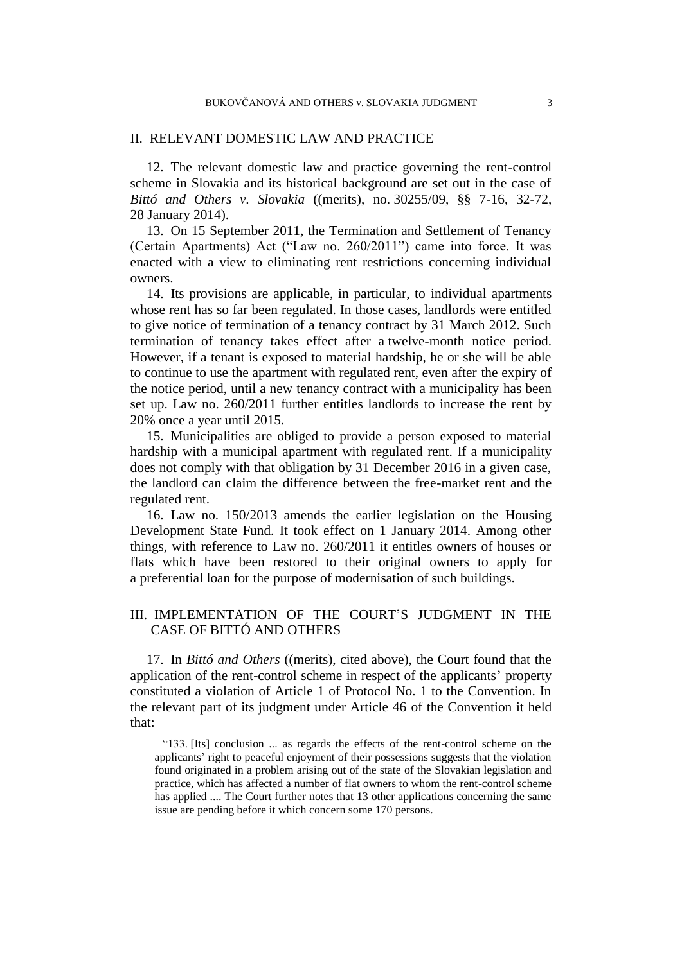#### II. RELEVANT DOMESTIC LAW AND PRACTICE

12. The relevant domestic law and practice governing the rent-control scheme in Slovakia and its historical background are set out in the case of *Bittó and Others v. Slovakia* ((merits), no. 30255/09, §§ 7-16, 32-72, 28 January 2014).

<span id="page-4-0"></span>13. On 15 September 2011, the Termination and Settlement of Tenancy (Certain Apartments) Act ("Law no. 260/2011") came into force. It was enacted with a view to eliminating rent restrictions concerning individual owners.

<span id="page-4-2"></span>14. Its provisions are applicable, in particular, to individual apartments whose rent has so far been regulated. In those cases, landlords were entitled to give notice of termination of a tenancy contract by 31 March 2012. Such termination of tenancy takes effect after a twelve-month notice period. However, if a tenant is exposed to material hardship, he or she will be able to continue to use the apartment with regulated rent, even after the expiry of the notice period, until a new tenancy contract with a municipality has been set up. Law no. 260/2011 further entitles landlords to increase the rent by 20% once a year until 2015.

15. Municipalities are obliged to provide a person exposed to material hardship with a municipal apartment with regulated rent. If a municipality does not comply with that obligation by 31 December 2016 in a given case, the landlord can claim the difference between the free-market rent and the regulated rent.

<span id="page-4-1"></span>16. Law no. 150/2013 amends the earlier legislation on the Housing Development State Fund. It took effect on 1 January 2014. Among other things, with reference to Law no. 260/2011 it entitles owners of houses or flats which have been restored to their original owners to apply for a preferential loan for the purpose of modernisation of such buildings.

# III. IMPLEMENTATION OF THE COURT'S JUDGMENT IN THE CASE OF BITTÓ AND OTHERS

17. In *Bittó and Others* ((merits), cited above), the Court found that the application of the rent-control scheme in respect of the applicants' property constituted a violation of Article 1 of Protocol No. 1 to the Convention. In the relevant part of its judgment under Article 46 of the Convention it held that:

"133. [Its] conclusion ... as regards the effects of the rent-control scheme on the applicants' right to peaceful enjoyment of their possessions suggests that the violation found originated in a problem arising out of the state of the Slovakian legislation and practice, which has affected a number of flat owners to whom the rent-control scheme has applied .... The Court further notes that 13 other applications concerning the same issue are pending before it which concern some 170 persons.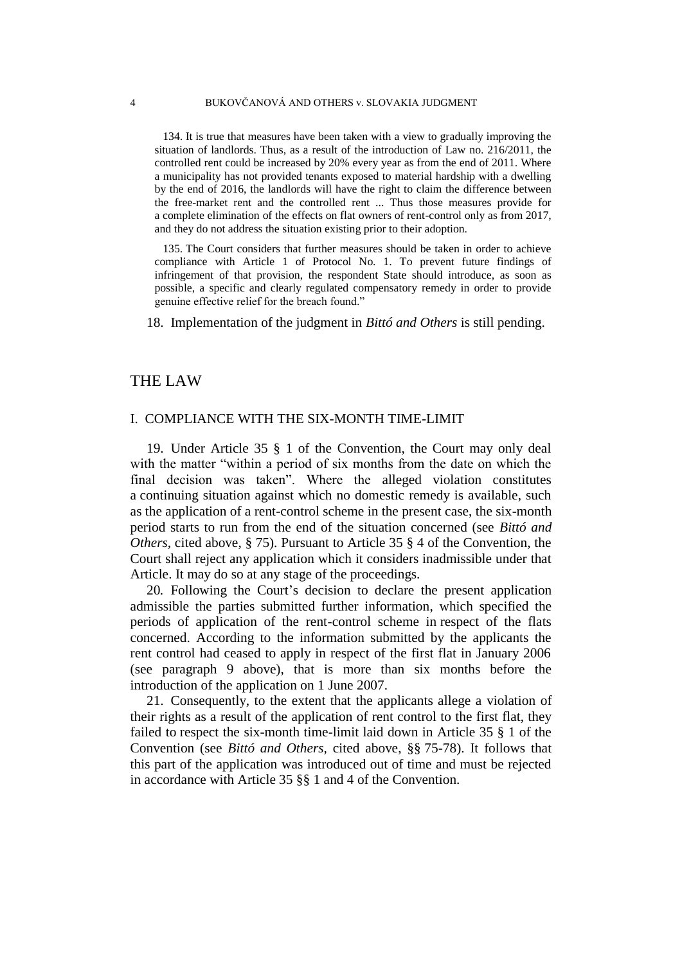134. It is true that measures have been taken with a view to gradually improving the situation of landlords. Thus, as a result of the introduction of Law no. 216/2011, the controlled rent could be increased by 20% every year as from the end of 2011. Where a municipality has not provided tenants exposed to material hardship with a dwelling by the end of 2016, the landlords will have the right to claim the difference between the free-market rent and the controlled rent ... Thus those measures provide for a complete elimination of the effects on flat owners of rent-control only as from 2017, and they do not address the situation existing prior to their adoption.

135. The Court considers that further measures should be taken in order to achieve compliance with Article 1 of Protocol No. 1. To prevent future findings of infringement of that provision, the respondent State should introduce, as soon as possible, a specific and clearly regulated compensatory remedy in order to provide genuine effective relief for the breach found."

18. Implementation of the judgment in *Bittó and Others* is still pending.

## THE LAW

# I. COMPLIANCE WITH THE SIX-MONTH TIME-LIMIT

19. Under Article 35 § 1 of the Convention, the Court may only deal with the matter "within a period of six months from the date on which the final decision was taken". Where the alleged violation constitutes a continuing situation against which no domestic remedy is available, such as the application of a rent-control scheme in the present case, the six-month period starts to run from the end of the situation concerned (see *Bittó and Others,* cited above, § 75). Pursuant to Article 35 § 4 of the Convention, the Court shall reject any application which it considers inadmissible under that Article. It may do so at any stage of the proceedings.

20*.* Following the Court's decision to declare the present application admissible the parties submitted further information, which specified the periods of application of the rent-control scheme in respect of the flats concerned. According to the information submitted by the applicants the rent control had ceased to apply in respect of the first flat in January 2006 (see paragraph [9](#page-3-0) above), that is more than six months before the introduction of the application on 1 June 2007.

21. Consequently, to the extent that the applicants allege a violation of their rights as a result of the application of rent control to the first flat, they failed to respect the six-month time-limit laid down in Article 35 § 1 of the Convention (see *Bittó and Others,* cited above, §§ 75-78). It follows that this part of the application was introduced out of time and must be rejected in accordance with Article 35 §§ 1 and 4 of the Convention.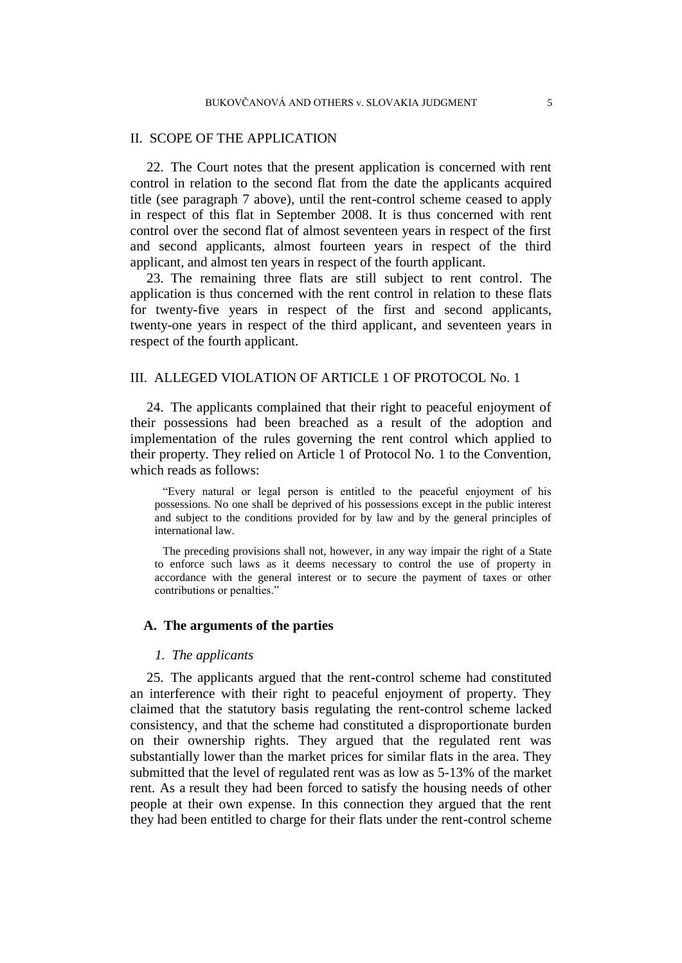## II. SCOPE OF THE APPLICATION

<span id="page-6-0"></span>22. The Court notes that the present application is concerned with rent control in relation to the second flat from the date the applicants acquired title (see paragraph [7](#page-3-1) above), until the rent-control scheme ceased to apply in respect of this flat in September 2008. It is thus concerned with rent control over the second flat of almost seventeen years in respect of the first and second applicants, almost fourteen years in respect of the third applicant, and almost ten years in respect of the fourth applicant.

<span id="page-6-1"></span>23. The remaining three flats are still subject to rent control. The application is thus concerned with the rent control in relation to these flats for twenty-five years in respect of the first and second applicants, twenty-one years in respect of the third applicant, and seventeen years in respect of the fourth applicant.

# III. ALLEGED VIOLATION OF ARTICLE 1 OF PROTOCOL No. 1

24. The applicants complained that their right to peaceful enjoyment of their possessions had been breached as a result of the adoption and implementation of the rules governing the rent control which applied to their property. They relied on Article 1 of Protocol No. 1 to the Convention, which reads as follows:

"Every natural or legal person is entitled to the peaceful enjoyment of his possessions. No one shall be deprived of his possessions except in the public interest and subject to the conditions provided for by law and by the general principles of international law.

The preceding provisions shall not, however, in any way impair the right of a State to enforce such laws as it deems necessary to control the use of property in accordance with the general interest or to secure the payment of taxes or other contributions or penalties."

## **A. The arguments of the parties**

#### *1. The applicants*

25. The applicants argued that the rent-control scheme had constituted an interference with their right to peaceful enjoyment of property. They claimed that the statutory basis regulating the rent-control scheme lacked consistency, and that the scheme had constituted a disproportionate burden on their ownership rights. They argued that the regulated rent was substantially lower than the market prices for similar flats in the area. They submitted that the level of regulated rent was as low as 5-13% of the market rent. As a result they had been forced to satisfy the housing needs of other people at their own expense. In this connection they argued that the rent they had been entitled to charge for their flats under the rent-control scheme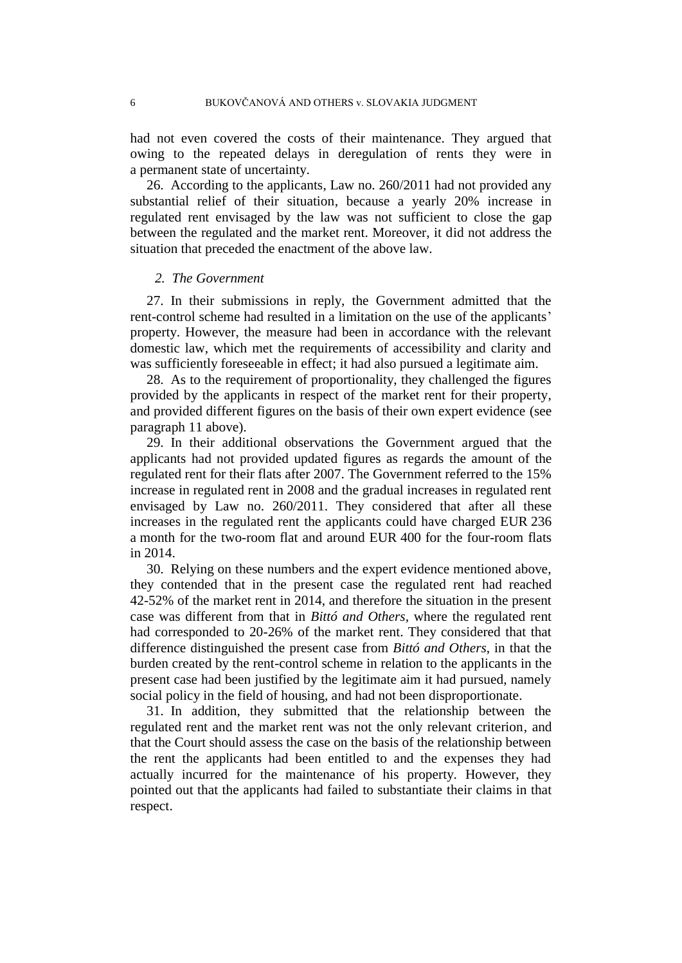had not even covered the costs of their maintenance. They argued that owing to the repeated delays in deregulation of rents they were in a permanent state of uncertainty.

26. According to the applicants, Law no. 260/2011 had not provided any substantial relief of their situation, because a yearly 20% increase in regulated rent envisaged by the law was not sufficient to close the gap between the regulated and the market rent. Moreover, it did not address the situation that preceded the enactment of the above law.

#### *2. The Government*

27. In their submissions in reply, the Government admitted that the rent-control scheme had resulted in a limitation on the use of the applicants' property. However, the measure had been in accordance with the relevant domestic law, which met the requirements of accessibility and clarity and was sufficiently foreseeable in effect; it had also pursued a legitimate aim.

28. As to the requirement of proportionality, they challenged the figures provided by the applicants in respect of the market rent for their property, and provided different figures on the basis of their own expert evidence (see paragraph [11](#page-3-2) above).

<span id="page-7-0"></span>29. In their additional observations the Government argued that the applicants had not provided updated figures as regards the amount of the regulated rent for their flats after 2007. The Government referred to the 15% increase in regulated rent in 2008 and the gradual increases in regulated rent envisaged by Law no. 260/2011. They considered that after all these increases in the regulated rent the applicants could have charged EUR 236 a month for the two-room flat and around EUR 400 for the four-room flats in 2014.

30. Relying on these numbers and the expert evidence mentioned above, they contended that in the present case the regulated rent had reached 42-52% of the market rent in 2014, and therefore the situation in the present case was different from that in *Bittó and Others,* where the regulated rent had corresponded to 20-26% of the market rent. They considered that that difference distinguished the present case from *Bittó and Others*, in that the burden created by the rent-control scheme in relation to the applicants in the present case had been justified by the legitimate aim it had pursued, namely social policy in the field of housing, and had not been disproportionate.

31. In addition, they submitted that the relationship between the regulated rent and the market rent was not the only relevant criterion, and that the Court should assess the case on the basis of the relationship between the rent the applicants had been entitled to and the expenses they had actually incurred for the maintenance of his property. However, they pointed out that the applicants had failed to substantiate their claims in that respect.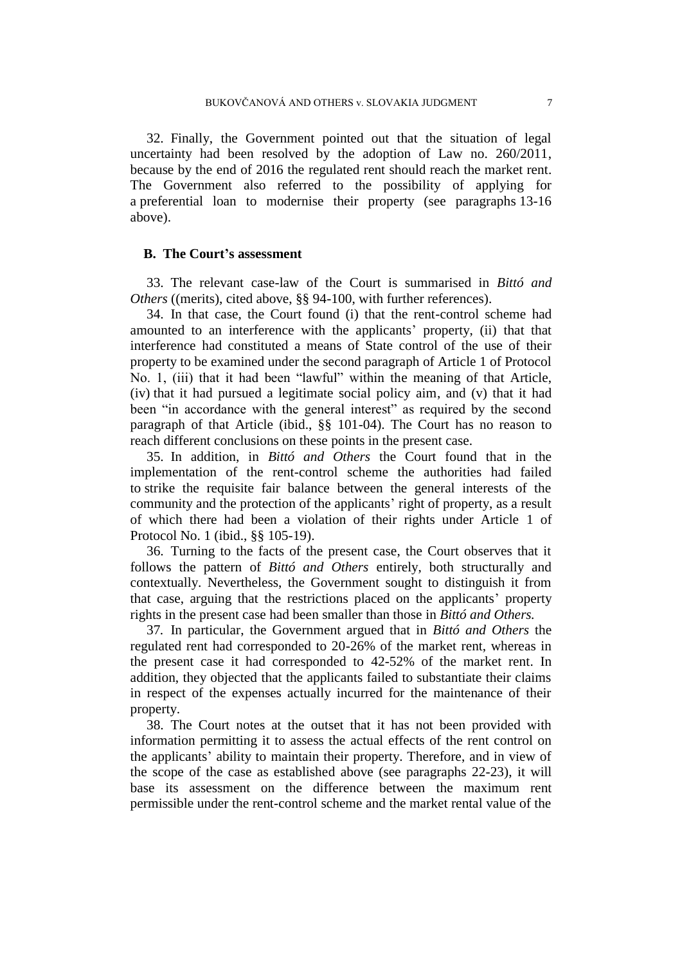32. Finally, the Government pointed out that the situation of legal uncertainty had been resolved by the adoption of Law no. 260/2011, because by the end of 2016 the regulated rent should reach the market rent. The Government also referred to the possibility of applying for a preferential loan to modernise their property (see paragraphs [13](#page-4-0)[-16](#page-4-1) above).

#### **B. The Court's assessment**

33. The relevant case-law of the Court is summarised in *Bittó and Others* ((merits), cited above, §§ 94-100, with further references).

34. In that case, the Court found (i) that the rent-control scheme had amounted to an interference with the applicants' property, (ii) that that interference had constituted a means of State control of the use of their property to be examined under the second paragraph of Article 1 of Protocol No. 1, (iii) that it had been "lawful" within the meaning of that Article, (iv) that it had pursued a legitimate social policy aim, and (v) that it had been "in accordance with the general interest" as required by the second paragraph of that Article (ibid., §§ 101-04). The Court has no reason to reach different conclusions on these points in the present case.

35. In addition, in *Bittó and Others* the Court found that in the implementation of the rent-control scheme the authorities had failed to strike the requisite fair balance between the general interests of the community and the protection of the applicants' right of property, as a result of which there had been a violation of their rights under Article 1 of Protocol No. 1 (ibid., §§ 105-19).

36. Turning to the facts of the present case, the Court observes that it follows the pattern of *Bittó and Others* entirely, both structurally and contextually. Nevertheless, the Government sought to distinguish it from that case, arguing that the restrictions placed on the applicants' property rights in the present case had been smaller than those in *Bittó and Others.*

37*.* In particular, the Government argued that in *Bittó and Others* the regulated rent had corresponded to 20-26% of the market rent, whereas in the present case it had corresponded to 42-52% of the market rent. In addition, they objected that the applicants failed to substantiate their claims in respect of the expenses actually incurred for the maintenance of their property.

38. The Court notes at the outset that it has not been provided with information permitting it to assess the actual effects of the rent control on the applicants' ability to maintain their property. Therefore, and in view of the scope of the case as established above (see paragraphs [22](#page-6-0)[-23\)](#page-6-1), it will base its assessment on the difference between the maximum rent permissible under the rent-control scheme and the market rental value of the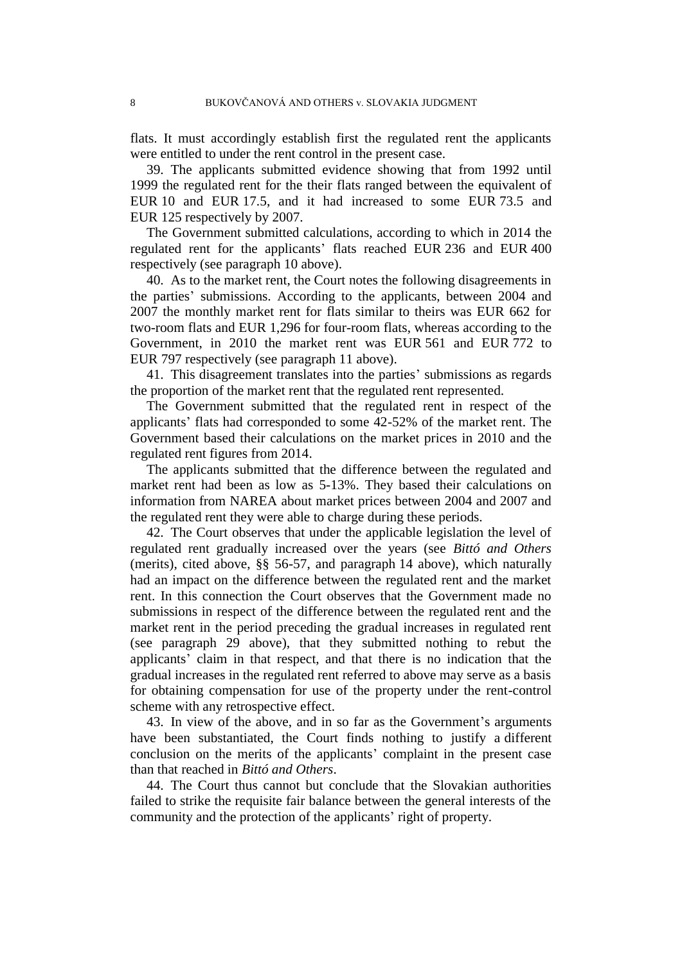flats. It must accordingly establish first the regulated rent the applicants were entitled to under the rent control in the present case.

39. The applicants submitted evidence showing that from 1992 until 1999 the regulated rent for the their flats ranged between the equivalent of EUR 10 and EUR 17.5, and it had increased to some EUR 73.5 and EUR 125 respectively by 2007.

The Government submitted calculations, according to which in 2014 the regulated rent for the applicants' flats reached EUR 236 and EUR 400 respectively (see paragraph [10](#page-3-3) above).

40. As to the market rent, the Court notes the following disagreements in the parties' submissions. According to the applicants, between 2004 and 2007 the monthly market rent for flats similar to theirs was EUR 662 for two-room flats and EUR 1,296 for four-room flats, whereas according to the Government, in 2010 the market rent was EUR 561 and EUR 772 to EUR 797 respectively (see paragraph [11](#page-3-2) above).

41. This disagreement translates into the parties' submissions as regards the proportion of the market rent that the regulated rent represented.

The Government submitted that the regulated rent in respect of the applicants' flats had corresponded to some 42-52% of the market rent. The Government based their calculations on the market prices in 2010 and the regulated rent figures from 2014.

The applicants submitted that the difference between the regulated and market rent had been as low as 5-13%. They based their calculations on information from NAREA about market prices between 2004 and 2007 and the regulated rent they were able to charge during these periods.

42. The Court observes that under the applicable legislation the level of regulated rent gradually increased over the years (see *Bittó and Others* (merits), cited above, §§ 56-57, and paragraph [14](#page-4-2) above), which naturally had an impact on the difference between the regulated rent and the market rent. In this connection the Court observes that the Government made no submissions in respect of the difference between the regulated rent and the market rent in the period preceding the gradual increases in regulated rent (see paragraph [29](#page-7-0) above), that they submitted nothing to rebut the applicants' claim in that respect, and that there is no indication that the gradual increases in the regulated rent referred to above may serve as a basis for obtaining compensation for use of the property under the rent-control scheme with any retrospective effect.

43. In view of the above, and in so far as the Government's arguments have been substantiated, the Court finds nothing to justify a different conclusion on the merits of the applicants' complaint in the present case than that reached in *Bittó and Others*.

44. The Court thus cannot but conclude that the Slovakian authorities failed to strike the requisite fair balance between the general interests of the community and the protection of the applicants' right of property.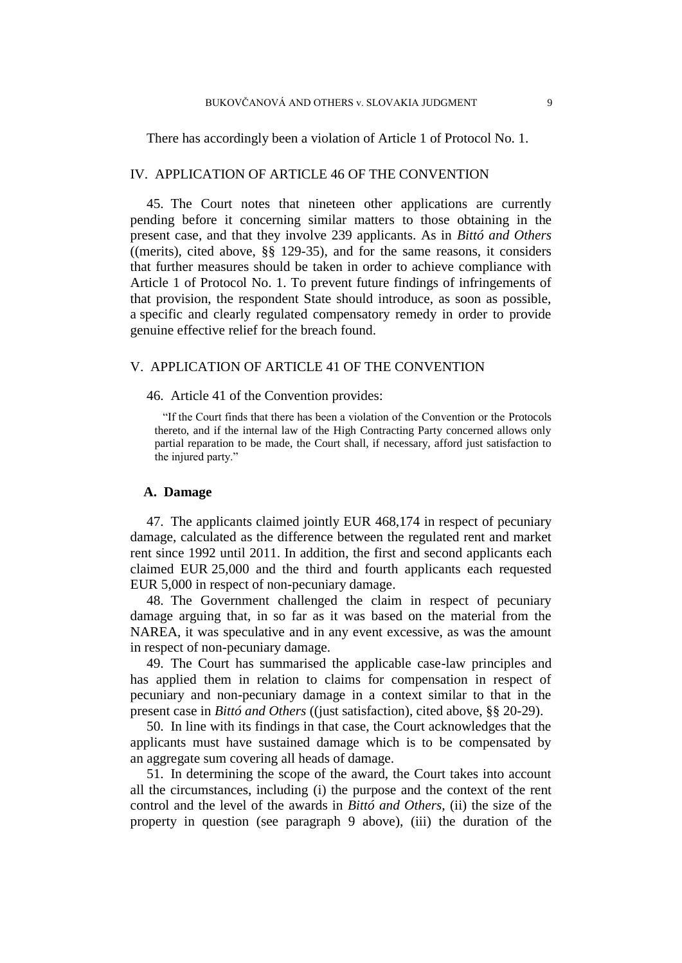There has accordingly been a violation of Article 1 of Protocol No. 1.

# IV. APPLICATION OF ARTICLE 46 OF THE CONVENTION

45. The Court notes that nineteen other applications are currently pending before it concerning similar matters to those obtaining in the present case, and that they involve 239 applicants. As in *Bittó and Others* ((merits), cited above, §§ 129-35), and for the same reasons, it considers that further measures should be taken in order to achieve compliance with Article 1 of Protocol No. 1. To prevent future findings of infringements of that provision, the respondent State should introduce, as soon as possible, a specific and clearly regulated compensatory remedy in order to provide genuine effective relief for the breach found.

#### V. APPLICATION OF ARTICLE 41 OF THE CONVENTION

46. Article 41 of the Convention provides:

"If the Court finds that there has been a violation of the Convention or the Protocols thereto, and if the internal law of the High Contracting Party concerned allows only partial reparation to be made, the Court shall, if necessary, afford just satisfaction to the injured party."

#### **A. Damage**

47. The applicants claimed jointly EUR 468,174 in respect of pecuniary damage, calculated as the difference between the regulated rent and market rent since 1992 until 2011. In addition, the first and second applicants each claimed EUR 25,000 and the third and fourth applicants each requested EUR 5,000 in respect of non-pecuniary damage.

48. The Government challenged the claim in respect of pecuniary damage arguing that, in so far as it was based on the material from the NAREA, it was speculative and in any event excessive, as was the amount in respect of non-pecuniary damage.

49. The Court has summarised the applicable case-law principles and has applied them in relation to claims for compensation in respect of pecuniary and non-pecuniary damage in a context similar to that in the present case in *Bittó and Others* ((just satisfaction), cited above, §§ 20-29).

50. In line with its findings in that case, the Court acknowledges that the applicants must have sustained damage which is to be compensated by an aggregate sum covering all heads of damage.

51. In determining the scope of the award, the Court takes into account all the circumstances, including (i) the purpose and the context of the rent control and the level of the awards in *Bittó and Others*, (ii) the size of the property in question (see paragraph [9](#page-3-0) above), (iii) the duration of the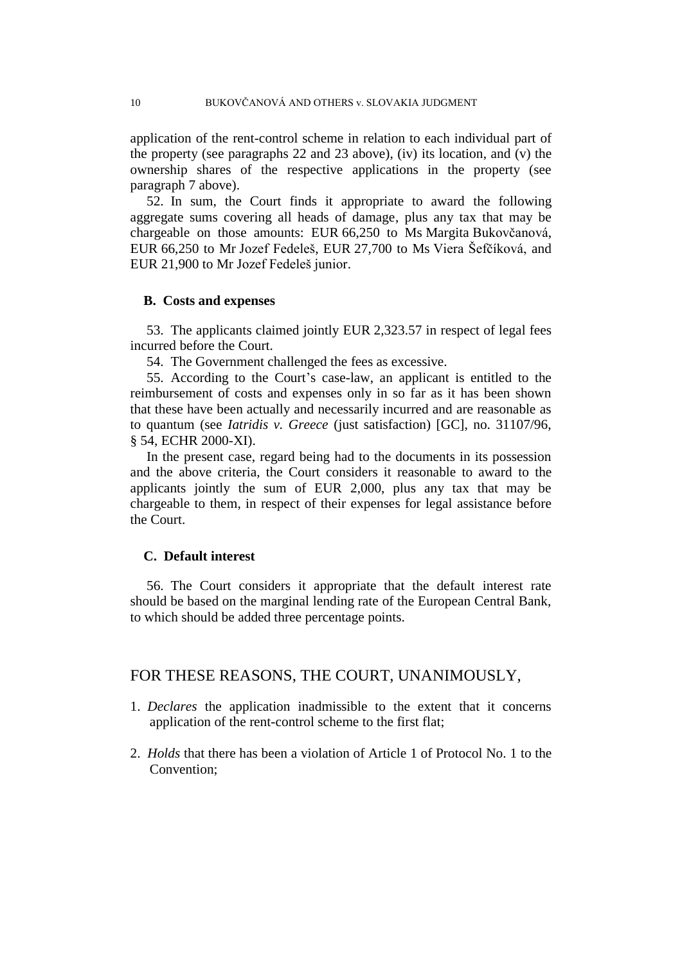application of the rent-control scheme in relation to each individual part of the property (see paragraphs [22](#page-6-0) and [23](#page-6-1) above), (iv) its location, and (v) the ownership shares of the respective applications in the property (see paragraph [7](#page-3-1) above).

<span id="page-11-0"></span>52. In sum, the Court finds it appropriate to award the following aggregate sums covering all heads of damage, plus any tax that may be chargeable on those amounts: EUR 66,250 to Ms Margita Bukovčanová, EUR 66,250 to Mr Jozef Fedeleš, EUR 27,700 to Ms Viera Šefčíková, and EUR 21,900 to Mr Jozef Fedeleš junior.

#### **B. Costs and expenses**

53. The applicants claimed jointly EUR 2,323.57 in respect of legal fees incurred before the Court.

54. The Government challenged the fees as excessive.

55. According to the Court's case-law, an applicant is entitled to the reimbursement of costs and expenses only in so far as it has been shown that these have been actually and necessarily incurred and are reasonable as to quantum (see *Iatridis v. Greece* (just satisfaction) [GC], no. 31107/96, § 54, ECHR 2000-XI).

In the present case, regard being had to the documents in its possession and the above criteria, the Court considers it reasonable to award to the applicants jointly the sum of EUR 2,000, plus any tax that may be chargeable to them, in respect of their expenses for legal assistance before the Court.

# **C. Default interest**

56. The Court considers it appropriate that the default interest rate should be based on the marginal lending rate of the European Central Bank, to which should be added three percentage points.

## FOR THESE REASONS, THE COURT, UNANIMOUSLY,

- 1. *Declares* the application inadmissible to the extent that it concerns application of the rent-control scheme to the first flat;
- 2. *Holds* that there has been a violation of Article 1 of Protocol No. 1 to the Convention;